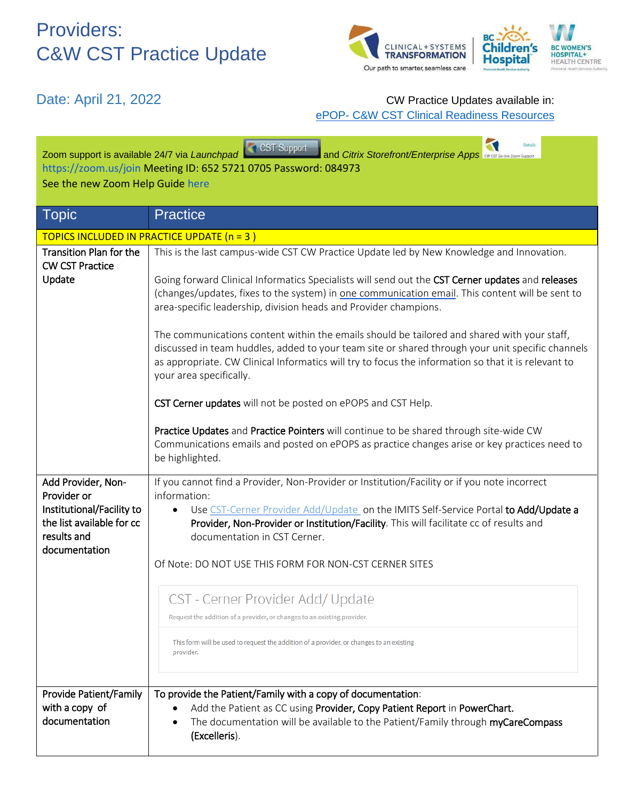## Providers: C&W CST Practice Update



### Date: April 21, 2022 **CW** Practice Updates available in: ePOP- [C&W CST Clinical Readiness Resources](http://policyandorders.cw.bc.ca/)

| CST Support<br>and Citrix Storefront/Enterprise Apps <b>ever come Support</b><br>Zoom support is available 24/7 via Launchpad<br>https://zoom.us/join Meeting ID: 652 5721 0705 Password: 084973<br>See the new Zoom Help Guide here |                                                                                                                                                                                                                                                                                                                                    |  |  |
|--------------------------------------------------------------------------------------------------------------------------------------------------------------------------------------------------------------------------------------|------------------------------------------------------------------------------------------------------------------------------------------------------------------------------------------------------------------------------------------------------------------------------------------------------------------------------------|--|--|
| <b>Topic</b>                                                                                                                                                                                                                         | <b>Practice</b>                                                                                                                                                                                                                                                                                                                    |  |  |
| TOPICS INCLUDED IN PRACTICE UPDATE (n = 3)                                                                                                                                                                                           |                                                                                                                                                                                                                                                                                                                                    |  |  |
| <b>Transition Plan for the</b><br><b>CW CST Practice</b><br>Update                                                                                                                                                                   | This is the last campus-wide CST CW Practice Update led by New Knowledge and Innovation.<br>Going forward Clinical Informatics Specialists will send out the CST Cerner updates and releases                                                                                                                                       |  |  |
|                                                                                                                                                                                                                                      | (changes/updates, fixes to the system) in one communication email. This content will be sent to<br>area-specific leadership, division heads and Provider champions.                                                                                                                                                                |  |  |
|                                                                                                                                                                                                                                      | The communications content within the emails should be tailored and shared with your staff,<br>discussed in team huddles, added to your team site or shared through your unit specific channels<br>as appropriate. CW Clinical Informatics will try to focus the information so that it is relevant to<br>your area specifically.  |  |  |
|                                                                                                                                                                                                                                      | CST Cerner updates will not be posted on ePOPS and CST Help.                                                                                                                                                                                                                                                                       |  |  |
|                                                                                                                                                                                                                                      | Practice Updates and Practice Pointers will continue to be shared through site-wide CW<br>Communications emails and posted on ePOPS as practice changes arise or key practices need to<br>be highlighted.                                                                                                                          |  |  |
| Add Provider, Non-<br>Provider or<br>Institutional/Facility to<br>the list available for cc<br>results and<br>documentation                                                                                                          | If you cannot find a Provider, Non-Provider or Institution/Facility or if you note incorrect<br>information:<br>Use CST-Cerner Provider Add/Update on the IMITS Self-Service Portal to Add/Update a<br>٠<br>Provider, Non-Provider or Institution/Facility. This will facilitate cc of results and<br>documentation in CST Cerner. |  |  |
|                                                                                                                                                                                                                                      | Of Note: DO NOT USE THIS FORM FOR NON-CST CERNER SITES                                                                                                                                                                                                                                                                             |  |  |
|                                                                                                                                                                                                                                      | CST - Cerner Provider Add/ Update                                                                                                                                                                                                                                                                                                  |  |  |
|                                                                                                                                                                                                                                      | Request the addition of a provider, or changes to an existing provider.                                                                                                                                                                                                                                                            |  |  |
|                                                                                                                                                                                                                                      | This form will be used to request the addition of a provider, or changes to an existing<br>provider.                                                                                                                                                                                                                               |  |  |
| Provide Patient/Family<br>with a copy of<br>documentation                                                                                                                                                                            | To provide the Patient/Family with a copy of documentation:<br>Add the Patient as CC using Provider, Copy Patient Report in PowerChart.<br>The documentation will be available to the Patient/Family through myCareCompass<br>(Excelleris).                                                                                        |  |  |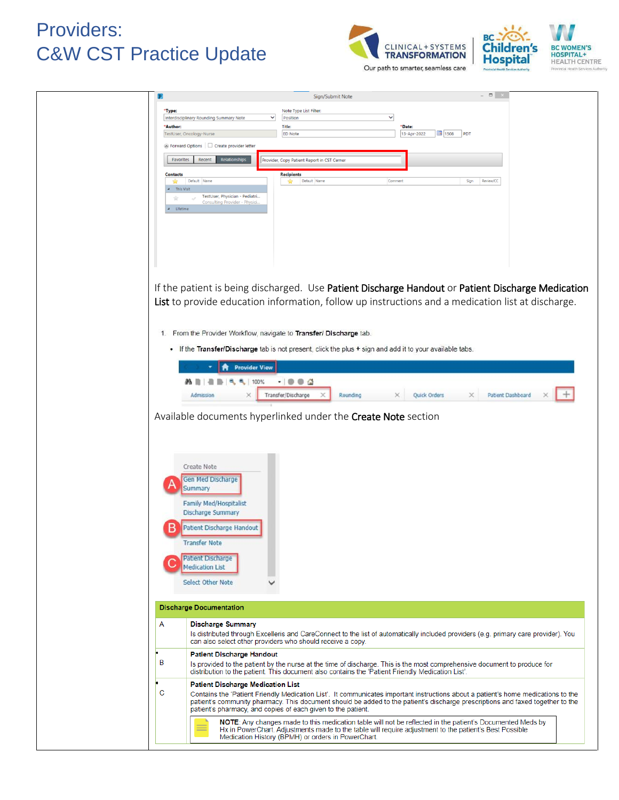## Providers: C&W CST Practice Update





Our path to smarter, seamless care